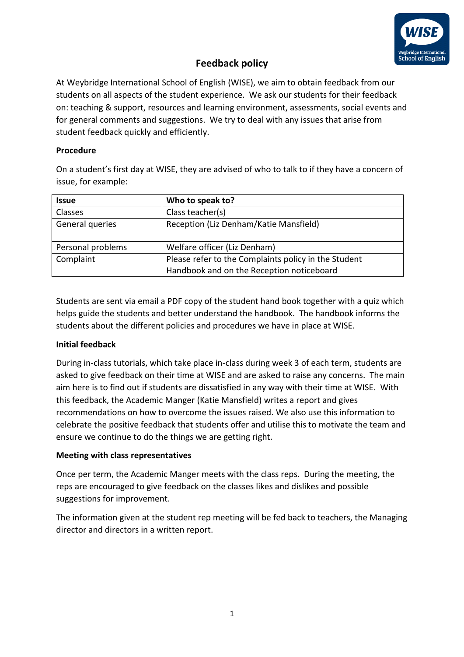

# **Feedback policy**

At Weybridge International School of English (WISE), we aim to obtain feedback from our students on all aspects of the student experience. We ask our students for their feedback on: teaching & support, resources and learning environment, assessments, social events and for general comments and suggestions. We try to deal with any issues that arise from student feedback quickly and efficiently.

## **Procedure**

On a student's first day at WISE, they are advised of who to talk to if they have a concern of issue, for example:

| <b>Issue</b>      | Who to speak to?                                                                                  |
|-------------------|---------------------------------------------------------------------------------------------------|
| <b>Classes</b>    | Class teacher(s)                                                                                  |
| General queries   | Reception (Liz Denham/Katie Mansfield)                                                            |
| Personal problems | Welfare officer (Liz Denham)                                                                      |
| Complaint         | Please refer to the Complaints policy in the Student<br>Handbook and on the Reception noticeboard |

Students are sent via email a PDF copy of the student hand book together with a quiz which helps guide the students and better understand the handbook. The handbook informs the students about the different policies and procedures we have in place at WISE.

# **Initial feedback**

During in-class tutorials, which take place in-class during week 3 of each term, students are asked to give feedback on their time at WISE and are asked to raise any concerns. The main aim here is to find out if students are dissatisfied in any way with their time at WISE. With this feedback, the Academic Manger (Katie Mansfield) writes a report and gives recommendations on how to overcome the issues raised. We also use this information to celebrate the positive feedback that students offer and utilise this to motivate the team and ensure we continue to do the things we are getting right.

## **Meeting with class representatives**

Once per term, the Academic Manger meets with the class reps. During the meeting, the reps are encouraged to give feedback on the classes likes and dislikes and possible suggestions for improvement.

The information given at the student rep meeting will be fed back to teachers, the Managing director and directors in a written report.